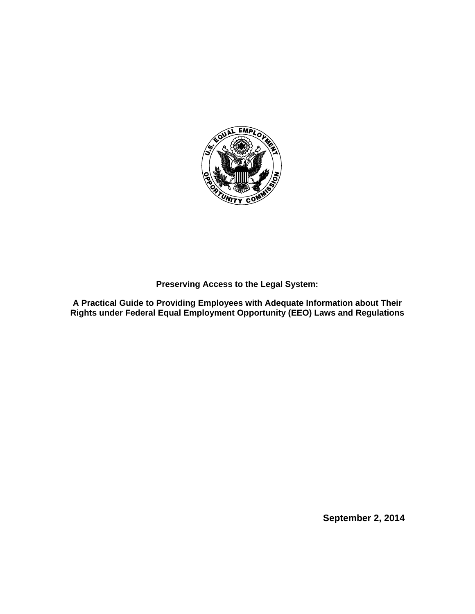

**Preserving Access to the Legal System:** 

**A Practical Guide to Providing Employees with Adequate Information about Their Rights under Federal Equal Employment Opportunity (EEO) Laws and Regulations**

**September 2, 2014**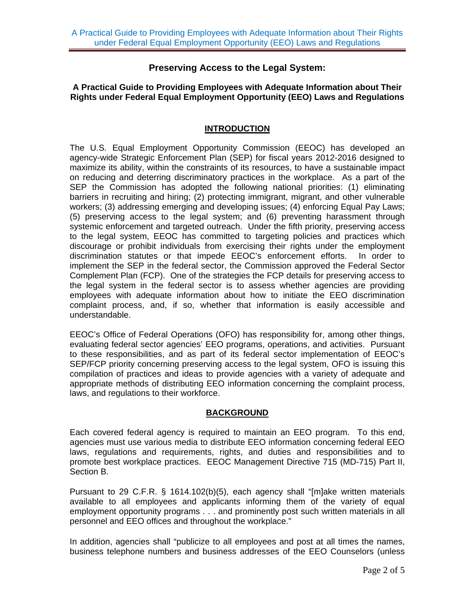## **Preserving Access to the Legal System:**

#### **A Practical Guide to Providing Employees with Adequate Information about Their Rights under Federal Equal Employment Opportunity (EEO) Laws and Regulations**

#### **INTRODUCTION**

The U.S. Equal Employment Opportunity Commission (EEOC) has developed an agency-wide Strategic Enforcement Plan (SEP) for fiscal years 2012-2016 designed to maximize its ability, within the constraints of its resources, to have a sustainable impact on reducing and deterring discriminatory practices in the workplace. As a part of the SEP the Commission has adopted the following national priorities: (1) eliminating barriers in recruiting and hiring; (2) protecting immigrant, migrant, and other vulnerable workers; (3) addressing emerging and developing issues; (4) enforcing Equal Pay Laws; (5) preserving access to the legal system; and (6) preventing harassment through systemic enforcement and targeted outreach. Under the fifth priority, preserving access to the legal system, EEOC has committed to targeting policies and practices which discourage or prohibit individuals from exercising their rights under the employment discrimination statutes or that impede EEOC's enforcement efforts. In order to implement the SEP in the federal sector, the Commission approved the Federal Sector Complement Plan (FCP). One of the strategies the FCP details for preserving access to the legal system in the federal sector is to assess whether agencies are providing employees with adequate information about how to initiate the EEO discrimination complaint process, and, if so, whether that information is easily accessible and understandable.

EEOC's Office of Federal Operations (OFO) has responsibility for, among other things, evaluating federal sector agencies' EEO programs, operations, and activities. Pursuant to these responsibilities, and as part of its federal sector implementation of EEOC's SEP/FCP priority concerning preserving access to the legal system, OFO is issuing this compilation of practices and ideas to provide agencies with a variety of adequate and appropriate methods of distributing EEO information concerning the complaint process, laws, and regulations to their workforce.

## **BACKGROUND**

Each covered federal agency is required to maintain an EEO program. To this end, agencies must use various media to distribute EEO information concerning federal EEO laws, regulations and requirements, rights, and duties and responsibilities and to promote best workplace practices. EEOC Management Directive 715 (MD-715) Part II, Section B.

Pursuant to 29 C.F.R. § 1614.102(b)(5), each agency shall "[m]ake written materials available to all employees and applicants informing them of the variety of equal employment opportunity programs . . . and prominently post such written materials in all personnel and EEO offices and throughout the workplace."

In addition, agencies shall "publicize to all employees and post at all times the names, business telephone numbers and business addresses of the EEO Counselors (unless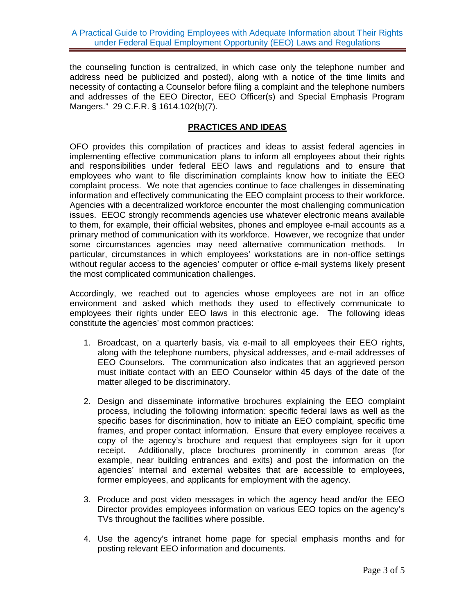the counseling function is centralized, in which case only the telephone number and address need be publicized and posted), along with a notice of the time limits and necessity of contacting a Counselor before filing a complaint and the telephone numbers and addresses of the EEO Director, EEO Officer(s) and Special Emphasis Program Mangers." 29 C.F.R. § 1614.102(b)(7).

## **PRACTICES AND IDEAS**

OFO provides this compilation of practices and ideas to assist federal agencies in implementing effective communication plans to inform all employees about their rights and responsibilities under federal EEO laws and regulations and to ensure that employees who want to file discrimination complaints know how to initiate the EEO complaint process. We note that agencies continue to face challenges in disseminating information and effectively communicating the EEO complaint process to their workforce. Agencies with a decentralized workforce encounter the most challenging communication issues. EEOC strongly recommends agencies use whatever electronic means available to them, for example, their official websites, phones and employee e-mail accounts as a primary method of communication with its workforce. However, we recognize that under some circumstances agencies may need alternative communication methods. In particular, circumstances in which employees' workstations are in non-office settings without regular access to the agencies' computer or office e-mail systems likely present the most complicated communication challenges.

Accordingly, we reached out to agencies whose employees are not in an office environment and asked which methods they used to effectively communicate to employees their rights under EEO laws in this electronic age. The following ideas constitute the agencies' most common practices:

- 1. Broadcast, on a quarterly basis, via e-mail to all employees their EEO rights, along with the telephone numbers, physical addresses, and e-mail addresses of EEO Counselors. The communication also indicates that an aggrieved person must initiate contact with an EEO Counselor within 45 days of the date of the matter alleged to be discriminatory.
- 2. Design and disseminate informative brochures explaining the EEO complaint process, including the following information: specific federal laws as well as the specific bases for discrimination, how to initiate an EEO complaint, specific time frames, and proper contact information. Ensure that every employee receives a copy of the agency's brochure and request that employees sign for it upon receipt. Additionally, place brochures prominently in common areas (for example, near building entrances and exits) and post the information on the agencies' internal and external websites that are accessible to employees, former employees, and applicants for employment with the agency.
- 3. Produce and post video messages in which the agency head and/or the EEO Director provides employees information on various EEO topics on the agency's TVs throughout the facilities where possible.
- 4. Use the agency's intranet home page for special emphasis months and for posting relevant EEO information and documents.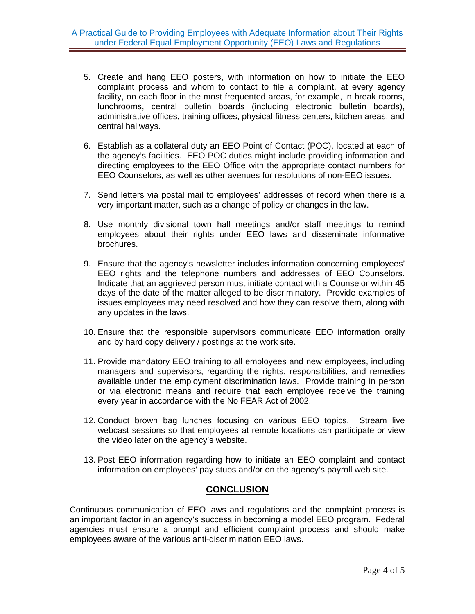- 5. Create and hang EEO posters, with information on how to initiate the EEO complaint process and whom to contact to file a complaint, at every agency facility, on each floor in the most frequented areas, for example, in break rooms, lunchrooms, central bulletin boards (including electronic bulletin boards), administrative offices, training offices, physical fitness centers, kitchen areas, and central hallways.
- 6. Establish as a collateral duty an EEO Point of Contact (POC), located at each of the agency's facilities. EEO POC duties might include providing information and directing employees to the EEO Office with the appropriate contact numbers for EEO Counselors, as well as other avenues for resolutions of non-EEO issues.
- 7. Send letters via postal mail to employees' addresses of record when there is a very important matter, such as a change of policy or changes in the law.
- 8. Use monthly divisional town hall meetings and/or staff meetings to remind employees about their rights under EEO laws and disseminate informative brochures.
- 9. Ensure that the agency's newsletter includes information concerning employees' EEO rights and the telephone numbers and addresses of EEO Counselors. Indicate that an aggrieved person must initiate contact with a Counselor within 45 days of the date of the matter alleged to be discriminatory. Provide examples of issues employees may need resolved and how they can resolve them, along with any updates in the laws.
- 10. Ensure that the responsible supervisors communicate EEO information orally and by hard copy delivery / postings at the work site.
- 11. Provide mandatory EEO training to all employees and new employees, including managers and supervisors, regarding the rights, responsibilities, and remedies available under the employment discrimination laws. Provide training in person or via electronic means and require that each employee receive the training every year in accordance with the No FEAR Act of 2002.
- 12. Conduct brown bag lunches focusing on various EEO topics. Stream live webcast sessions so that employees at remote locations can participate or view the video later on the agency's website.
- 13. Post EEO information regarding how to initiate an EEO complaint and contact information on employees' pay stubs and/or on the agency's payroll web site.

# **CONCLUSION**

Continuous communication of EEO laws and regulations and the complaint process is an important factor in an agency's success in becoming a model EEO program. Federal agencies must ensure a prompt and efficient complaint process and should make employees aware of the various anti-discrimination EEO laws.